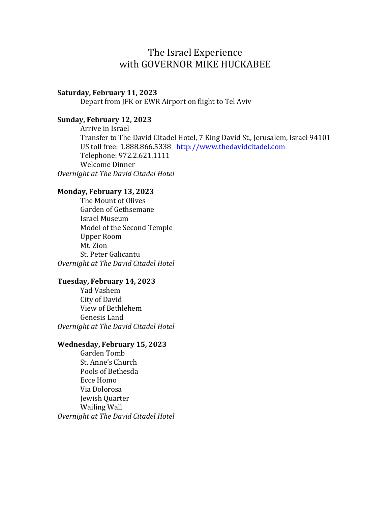# The Israel Experience with GOVERNOR MIKE HUCKABEE

#### Saturday, February 11, 2023

Depart from JFK or EWR Airport on flight to Tel Aviv

## Sunday, February 12, 2023

 Arrive in Israel Transfer to The David Citadel Hotel, 7 King David St., Jerusalem, Israel 94101 US toll free: 1.888.866.5338 http://www.thedavidcitadel.com Telephone: 972.2.621.1111 Welcome Dinner Overnight at The David Citadel Hotel

## Monday, February 13, 2023

 The Mount of Olives Garden of Gethsemane Israel Museum Model of the Second Temple Upper Room Mt. Zion St. Peter Galicantu Overnight at The David Citadel Hotel

#### Tuesday, February 14, 2023

 Yad Vashem City of David View of Bethlehem Genesis Land Overnight at The David Citadel Hotel

### Wednesday, February 15, 2023

 Garden Tomb St. Anne's Church Pools of Bethesda Ecce Homo Via Dolorosa Jewish Quarter Wailing Wall Overnight at The David Citadel Hotel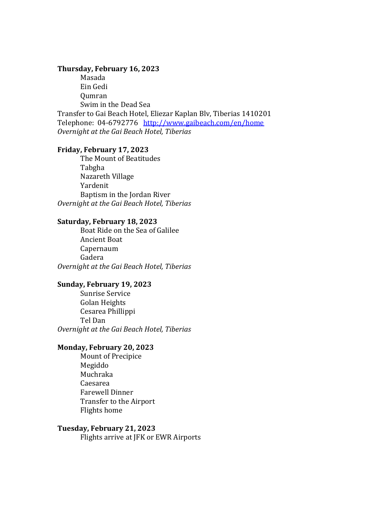#### Thursday, February 16, 2023

 Masada Ein Gedi Qumran Swim in the Dead Sea Transfer to Gai Beach Hotel, Eliezar Kaplan Blv, Tiberias 1410201 Telephone: 04-6792776 http://www.gaibeach.com/en/home Overnight at the Gai Beach Hotel, Tiberias

#### Friday, February 17, 2023

 The Mount of Beatitudes Tabgha Nazareth Village Yardenit Baptism in the Jordan River Overnight at the Gai Beach Hotel, Tiberias

#### Saturday, February 18, 2023

 Boat Ride on the Sea of Galilee Ancient Boat Capernaum Gadera Overnight at the Gai Beach Hotel, Tiberias

#### Sunday, February 19, 2023

Sunrise Service Golan Heights Cesarea Phillippi Tel Dan Overnight at the Gai Beach Hotel, Tiberias

## Monday, February 20, 2023

 Mount of Precipice Megiddo Muchraka Caesarea Farewell Dinner Transfer to the Airport Flights home

#### Tuesday, February 21, 2023

Flights arrive at JFK or EWR Airports